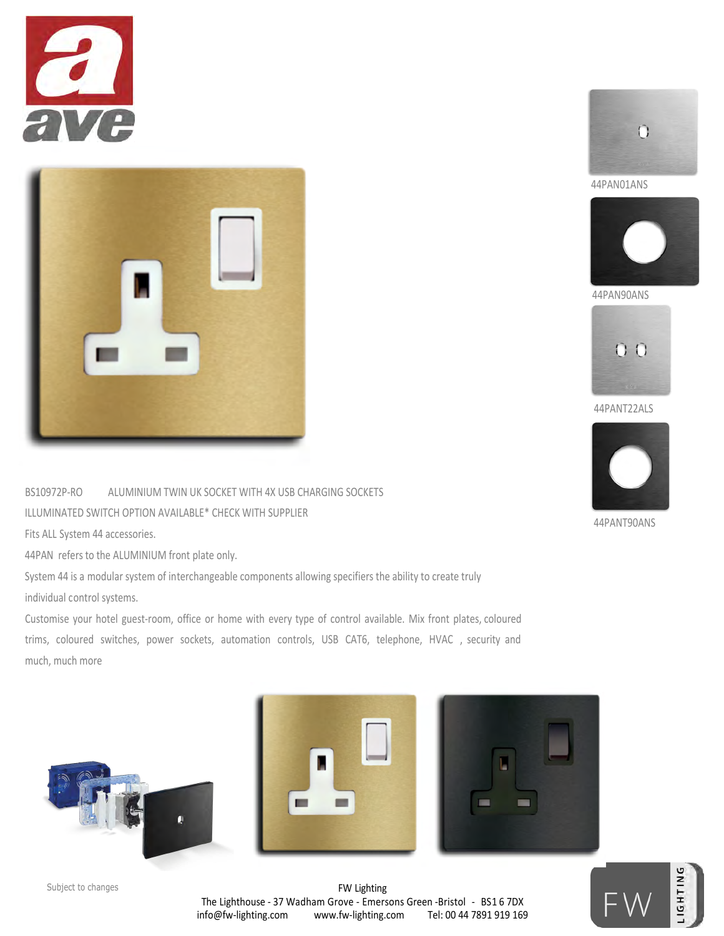



BS10972P-RO ALUMINIUM TWIN UK SOCKET WITH 4X USB CHARGING SOCKETS ILLUMINATED SWITCH OPTION AVAILABLE\* CHECK WITH SUPPLIER

Fits ALL System 44 accessories.

44PAN refers to the ALUMINIUM front plate only.

System 44 is a modular system of interchangeable components allowing specifiers the ability to create truly individual control systems.

Customise your hotel guest-room, office or home with every type of control available. Mix front plates, coloured trims, coloured switches, power sockets, automation controls, USB CAT6, telephone, HVAC , security and much, much more











FW Lighting The Lighthouse - 37 Wadham Grove - Emersons Green -Bristol - BS1 6 7DX info@fw-lighting.com www.fw-lighting.com Tel: 00 44 7891 919 169 Subject to changes and the control of the control of the control of the control of the control of  $\mathbb{E}$ 



44PAN01ANS



44PAN90ANS



44PANT22ALS



44PANT90ANS